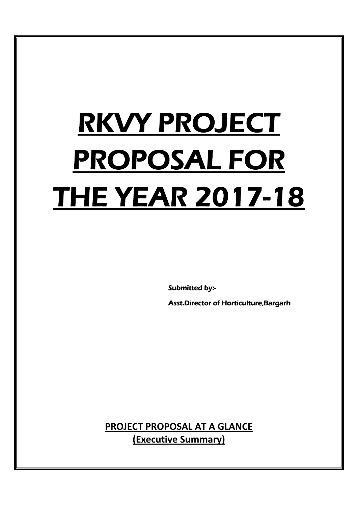# RKVY PROJECT PROPOSAL FOR THE YEAR 2017-18

Submitted by:-

Asst.Director of Horticulture,Bargarh

**PROJECT PROPOSAL AT A GLANCE (Executive Summary)**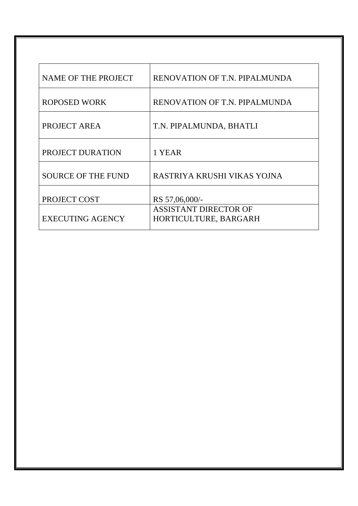| <b>NAME OF THE PROJECT</b> | RENOVATION OF T.N. PIPALMUNDA                         |
|----------------------------|-------------------------------------------------------|
| <b>ROPOSED WORK</b>        | RENOVATION OF T.N. PIPALMUNDA                         |
| PROJECT AREA               | T.N. PIPALMUNDA, BHATLI                               |
| PROJECT DURATION           | 1 YEAR                                                |
| <b>SOURCE OF THE FUND</b>  | RASTRIYA KRUSHI VIKAS YOJNA                           |
| PROJECT COST               | RS 57,06,000/-                                        |
| <b>EXECUTING AGENCY</b>    | <b>ASSISTANT DIRECTOR OF</b><br>HORTICULTURE, BARGARH |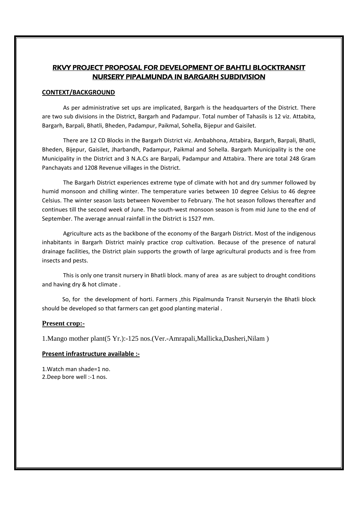## RKVY PROJECT PROPOSAL FOR DEVELOPMENT OF BAHTLI BLOCKTRANSIT NURSERY PIPALMUNDA IN BARGARH SUBDIVISION

#### **CONTEXT/BACKGROUND**

As per administrative set ups are implicated, Bargarh is the headquarters of the District. There are two sub divisions in the District, Bargarh and Padampur. Total number of Tahasils is 12 viz. Attabita, Bargarh, Barpali, Bhatli, Bheden, Padampur, Paikmal, Sohella, Bijepur and Gaisilet.

There are 12 CD Blocks in the Bargarh District viz. Ambabhona, Attabira, Bargarh, Barpali, Bhatli, Bheden, Bijepur, Gaisilet, Jharbandh, Padampur, Paikmal and Sohella. Bargarh Municipality is the one Municipality in the District and 3 N.A.Cs are Barpali, Padampur and Attabira. There are total 248 Gram Panchayats and 1208 Revenue villages in the District.

The Bargarh District experiences extreme type of climate with hot and dry summer followed by humid monsoon and chilling winter. The temperature varies between 10 degree Celsius to 46 degree Celsius. The winter season lasts between November to February. The hot season follows thereafter and continues till the second week of June. The south-west monsoon season is from mid June to the end of September. The average annual rainfall in the District is 1527 mm.

Agriculture acts as the backbone of the economy of the Bargarh District. Most of the indigenous inhabitants in Bargarh District mainly practice crop cultivation. Because of the presence of natural drainage facilities, the District plain supports the growth of large agricultural products and is free from insects and pests.

This is only one transit nursery in Bhatli block. many of area as are subject to drought conditions and having dry & hot climate .

 So, for the development of horti. Farmers ,this Pipalmunda Transit Nurseryin the Bhatli block should be developed so that farmers can get good planting material .

#### **Present crop:-**

1.Mango mother plant(5 Yr.):-125 nos.(Ver.-Amrapali,Mallicka,Dasheri,Nilam )

#### **Present infrastructure available :‐**

1.Watch man shade=1 no. 2.Deep bore well :‐1 nos.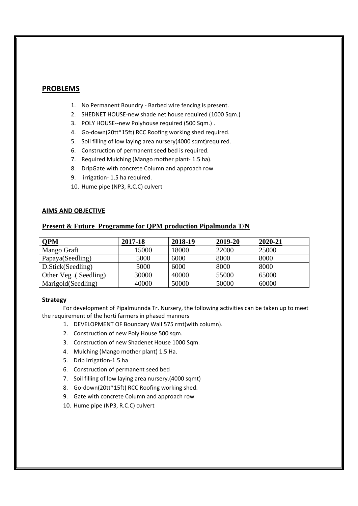## **PROBLEMS**

- 1. No Permanent Boundry ‐ Barbed wire fencing is present.
- 2. SHEDNET HOUSE‐new shade net house required (1000 Sqm.)
- 3. POLY HOUSE--new Polyhouse required (500 Sqm.).
- 4. Go‐down(20tt\*15ft) RCC Roofing working shed required.
- 5. Soil filling of low laying area nursery(4000 sqmt)required.
- 6. Construction of permanent seed bed is required.
- 7. Required Mulching (Mango mother plant‐ 1.5 ha).
- 8. DripGate with concrete Column and approach row
- 9. irrigation-1.5 ha required.
- 10. Hume pipe (NP3, R.C.C) culvert

#### **AIMS AND OBJECTIVE**

### **Present & Future Programme for QPM production Pipalmunda T/N**

| QPM                   | 2017-18 | 2018-19 | 2019-20 | 2020-21 |
|-----------------------|---------|---------|---------|---------|
| Mango Graft           | 15000   | 18000   | 22000   | 25000   |
| Papaya(Seedling)      | 5000    | 6000    | 8000    | 8000    |
| D.Stick(Seedling)     | 5000    | 6000    | 8000    | 8000    |
| Other Veg. (Seedling) | 30000   | 40000   | 55000   | 65000   |
| Marigold (Seedling)   | 40000   | 50000   | 50000   | 60000   |

#### **Strategy**

For development of Pipalmunnda Tr. Nursery, the following activities can be taken up to meet the requirement of the horti farmers in phased manners

- 1. DEVELOPMENT OF Boundary Wall 575 rmt(with column).
- 2. Construction of new Poly House 500 sqm.
- 3. Construction of new Shadenet House 1000 Sqm.
- 4. Mulching (Mango mother plant) 1.5 Ha.
- 5. Drip irrigation‐1.5 ha
- 6. Construction of permanent seed bed
- 7. Soil filling of low laying area nursery.(4000 sqmt)
- 8. Go‐down(20tt\*15ft) RCC Roofing working shed.
- 9. Gate with concrete Column and approach row
- 10. Hume pipe (NP3, R.C.C) culvert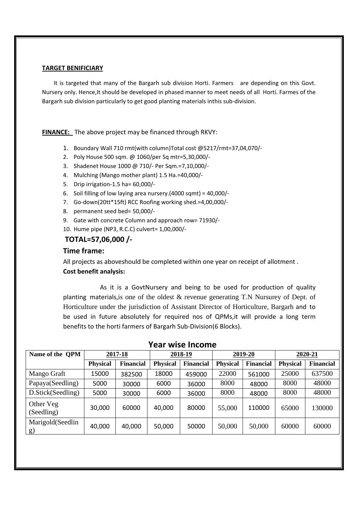## **TARGET BENIFICIARY**

 It is targeted that many of the Bargarh sub division Horti. Farmers are depending on this Govt. Nursery only. Hence,It should be developed in phased manner to meet needs of all Horti. Farmes of the Bargarh sub division particularly to get good planting materials inthis sub‐division.

**FINANCE:** The above project may be financed through RKVY:

- 1. Boundary Wall 710 rmt(with column)Total cost @5217/rmt=37,04,070/‐
- 2. Poly House 500 sqm. @ 1060/per Sq mtr=5,30,000/‐
- 3. Shadenet House 1000 @ 710/‐ Per Sqm.=7,10,000/‐
- 4. Mulching (Mango mother plant) 1.5 Ha.=40,000/‐
- 5. Drip irrigation‐1.5 ha= 60,000/‐
- 6. Soil filling of low laying area nursery.(4000 sqmt) = 40,000/‐
- 7. Go‐down(20tt\*15ft) RCC Roofing working shed.=4,00,000/‐
- 8. permanent seed bed= 50,000/-
- 9. Gate with concrete Column and approach row= 71930/-
- 10. Hume pipe (NP3, R.C.C) culvert= 1,00,000/‐

## **TOTAL=57,06,000 /‐**

## **Time frame:**

All projects as aboveshould be completed within one year on receipt of allotment . **Cost benefit analysis:** 

As it is a GovtNursery and being to be used for production of quality planting materials,is one of the oldest & revenue generating T.N Nursurey of Dept. of Horticulture under the jurisdiction of Assistant Director of Horticulture, Bargarh and to be used in future absolutely for required nos of QPMs,it will provide a long term benefits to the horti farmers of Bargarh Sub‐Division(6 Blocks).

| сан<br><b>WISC HILDING</b>    |                 |                  |                 |                  |                 |                  |                 |                  |  |  |  |
|-------------------------------|-----------------|------------------|-----------------|------------------|-----------------|------------------|-----------------|------------------|--|--|--|
| Name of the OPM               | 2017-18         |                  | 2018-19         |                  | 2019-20         |                  | 2020-21         |                  |  |  |  |
|                               | <b>Physical</b> | <b>Financial</b> | <b>Physical</b> | <b>Financial</b> | <b>Physical</b> | <b>Financial</b> | <b>Physical</b> | <b>Financial</b> |  |  |  |
| Mango Graft                   | 15000           | 382500           | 18000           | 459000           | 22000           | 561000           | 25000           | 637500           |  |  |  |
| Papaya(Seedling)              | 5000            | 30000            | 6000            | 36000            | 8000            | 48000            | 8000            | 48000            |  |  |  |
| D.Stick(Seedling)             | 5000            | 30000            | 6000            | 36000            | 8000            | 48000            | 8000            | 48000            |  |  |  |
| Other Veg<br>(Seedling)       | 30,000          | 60000            | 40,000          | 80000            | 55,000          | 110000           | 65000           | 130000           |  |  |  |
| Marigold(Seedlin<br><u>g)</u> | 40,000          | 40,000           | 50,000          | 50000            | 50,000          | 50,000           | 60000           | 60000            |  |  |  |

# **Year wise Income**